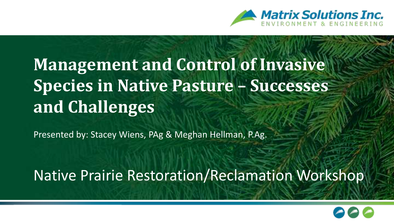

#### **Management and Control of Invasive Species in Native Pasture – Successes and Challenges**

Presented by: Stacey Wiens, PAg & Meghan Hellman, P.Ag.

Native Prairie Restoration/Reclamation Workshop

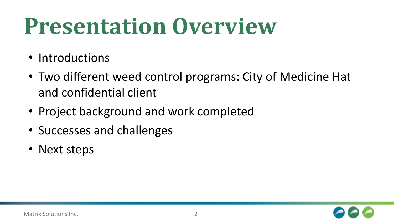## **Presentation Overview**

- Introductions
- Two different weed control programs: City of Medicine Hat and confidential client
- Project background and work completed
- Successes and challenges
- Next steps

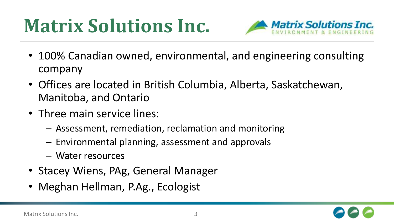#### **Matrix Solutions Inc.**



- 100% Canadian owned, environmental, and engineering consulting company
- Offices are located in British Columbia, Alberta, Saskatchewan, Manitoba, and Ontario
- Three main service lines:
	- Assessment, remediation, reclamation and monitoring
	- Environmental planning, assessment and approvals
	- Water resources
- Stacey Wiens, PAg, General Manager
- Meghan Hellman, P.Ag., Ecologist

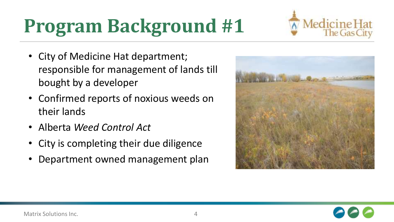### **Program Background #1**

- City of Medicine Hat department; responsible for management of lands till bought by a developer
- Confirmed reports of noxious weeds on their lands
- Alberta *Weed Control Act*
- City is completing their due diligence
- Department owned management plan





Aedicine Hat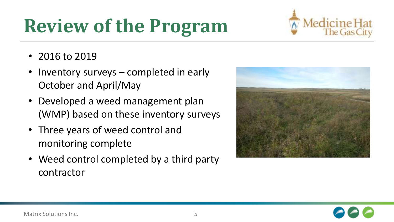### **Review of the Program**



- 2016 to 2019
- Inventory surveys completed in early October and April/May
- Developed a weed management plan (WMP) based on these inventory surveys
- Three years of weed control and monitoring complete
- Weed control completed by a third party contractor



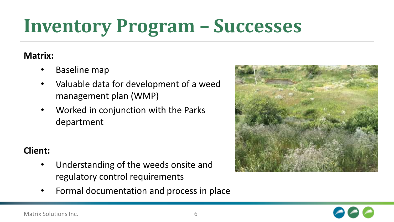#### **Inventory Program – Successes**

#### **Matrix:**

- Baseline map
- Valuable data for development of a weed management plan (WMP)
- Worked in conjunction with the Parks department

#### **Client:**

- Understanding of the weeds onsite and regulatory control requirements
- Formal documentation and process in place



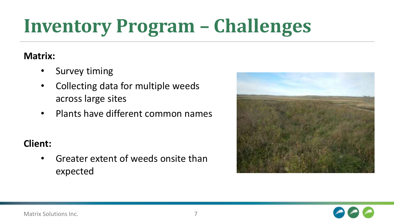### **Inventory Program – Challenges**

#### **Matrix:**

- Survey timing
- Collecting data for multiple weeds across large sites
- Plants have different common names

#### **Client:**

• Greater extent of weeds onsite than expected



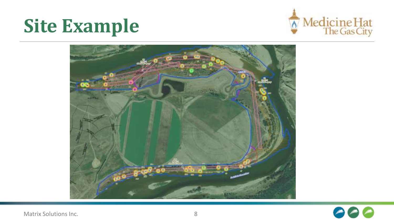#### **Site Example**





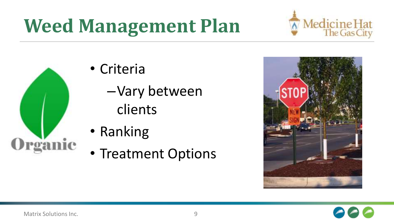### **Weed Management Plan**





- Criteria
	- –Vary between clients
- Ranking
- Treatment Options



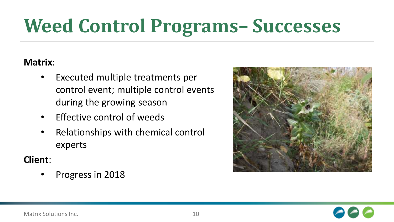### **Weed Control Programs– Successes**

#### **Matrix**:

- Executed multiple treatments per control event; multiple control events during the growing season
- Effective control of weeds
- Relationships with chemical control experts

#### **Client**:

• Progress in 2018



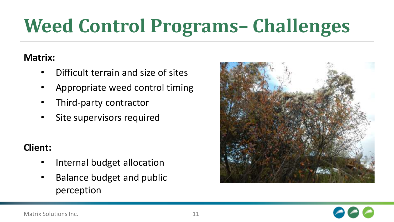### **Weed Control Programs– Challenges**

#### **Matrix:**

- Difficult terrain and size of sites
- Appropriate weed control timing
- Third-party contractor
- Site supervisors required

#### **Client:**

- Internal budget allocation
- Balance budget and public perception



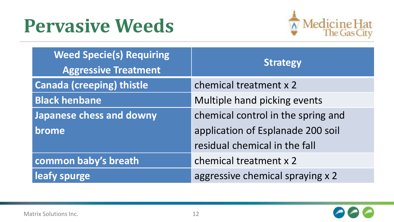#### **Pervasive Weeds**



| <b>Weed Specie(s) Requiring</b><br><b>Aggressive Treatment</b> | <b>Strategy</b>                    |
|----------------------------------------------------------------|------------------------------------|
| <b>Canada (creeping) thistle</b>                               | chemical treatment x 2             |
| <b>Black henbane</b>                                           | Multiple hand picking events       |
| Japanese chess and downy                                       | chemical control in the spring and |
| brome                                                          | application of Esplanade 200 soil  |
|                                                                | residual chemical in the fall      |
| common baby's breath                                           | chemical treatment x 2             |
| leafy spurge                                                   | aggressive chemical spraying x 2   |

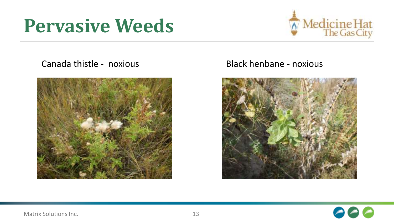#### **Pervasive Weeds**



Canada thistle - noxious Black henbane - noxious





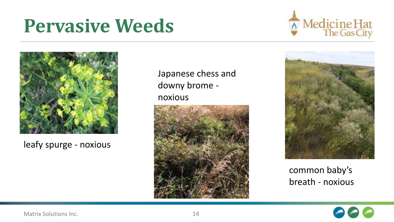#### **Pervasive Weeds**





leafy spurge - noxious

Japanese chess and downy brome noxious





common baby's breath - noxious

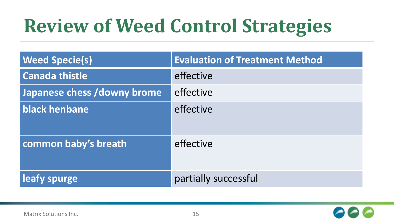#### **Review of Weed Control Strategies**

| <b>Weed Specie(s)</b>       | <b>Evaluation of Treatment Method</b> |
|-----------------------------|---------------------------------------|
| <b>Canada thistle</b>       | effective                             |
| Japanese chess /downy brome | effective                             |
| black henbane               | effective                             |
| common baby's breath        | effective                             |
| leafy spurge                | partially successful                  |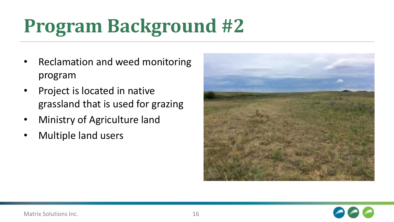### **Program Background #2**

- Reclamation and weed monitoring program
- Project is located in native grassland that is used for grazing
- Ministry of Agriculture land
- Multiple land users



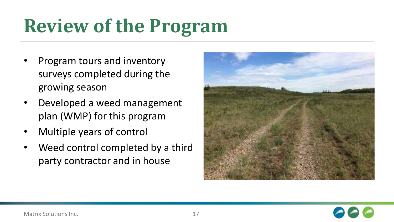#### **Review of the Program**

- Program tours and inventory surveys completed during the growing season
- Developed a weed management plan (WMP) for this program
- Multiple years of control
- Weed control completed by a third party contractor and in house



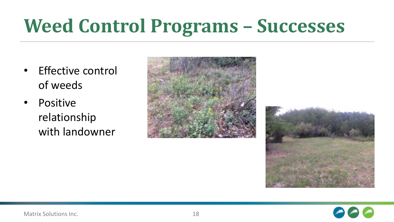### **Weed Control Programs – Successes**

- Effective control of weeds
- Positive relationship with landowner





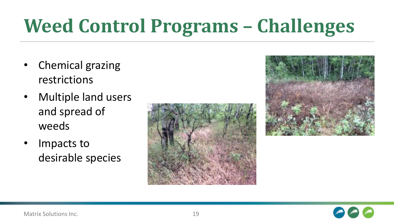### **Weed Control Programs – Challenges**

- Chemical grazing restrictions
- Multiple land users and spread of weeds
- Impacts to desirable species





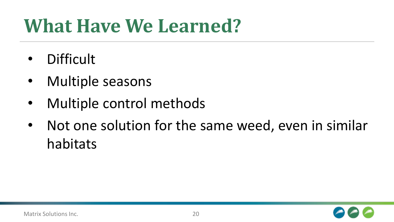#### **What Have We Learned?**

- Difficult
- Multiple seasons
- Multiple control methods
- Not one solution for the same weed, even in similar habitats